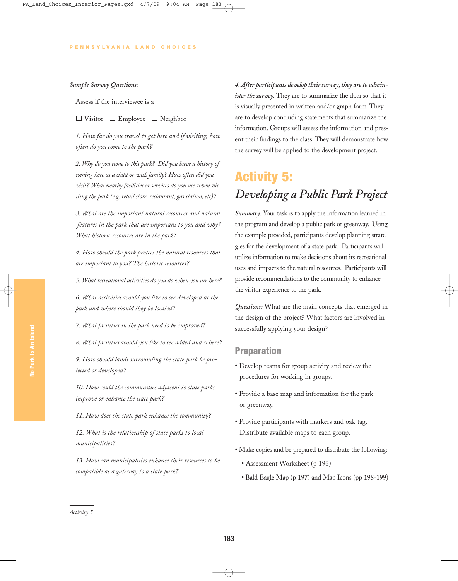### *Sample Survey Questions:*

Assess if the interviewee is a

 $\Box$  Visitor  $\Box$  Employee  $\Box$  Neighbor

*1. How far do you travel to get here and if visiting, how often do you come to the park?*

*2. Why do you come to this park? Did you have a history of coming here as a child or with family? How often did you visit? What nearby facilities or services do you use when visiting the park (e.g. retail store, restaurant, gas station, etc)?*

*3. What are the important natural resources and natural features in the park that are important to you and why? What historic resources are in the park?*

*4. How should the park protect the natural resources that are important to you? The historic resources?*

*5. What recreational activities do you do when you are here?*

*6. What activities would you like to see developed at the park and where should they be located?*

*7. What facilities in the park need to be improved?*

*8. What facilities would you like to see added and where?*

*9. How should lands surrounding the state park be protected or developed?*

*10. How could the communities adjacent to state parks improve or enhance the state park?*

*11. How does the state park enhance the community?*

*12. What is the relationship of state parks to local municipalities?*

*13. How can municipalities enhance their resources to be compatible as a gateway to a state park?*

*4. After participants develop their survey, they are to administer the survey.* They are to summarize the data so that it is visually presented in written and/or graph form. They are to develop concluding statements that summarize the information. Groups will assess the information and present their findings to the class. They will demonstrate how the survey will be applied to the development project.

# Activity 5: *Developing a Public Park Project*

*Summary:* Your task is to apply the information learned in the program and develop a public park or greenway. Using the example provided, participants develop planning strategies for the development of a state park. Participants will utilize information to make decisions about its recreational uses and impacts to the natural resources. Participants will provide recommendations to the community to enhance the visitor experience to the park.

*Questions:* What are the main concepts that emerged in the design of the project? What factors are involved in successfully applying your design?

## Preparation

- Develop teams for group activity and review the procedures for working in groups.
- Provide a base map and information for the park or greenway.
- Provide participants with markers and oak tag. Distribute available maps to each group.
- Make copies and be prepared to distribute the following:
	- Assessment Worksheet (p 196)
	- Bald Eagle Map (p 197) and Map Icons (pp 198-199)

*Activity 5*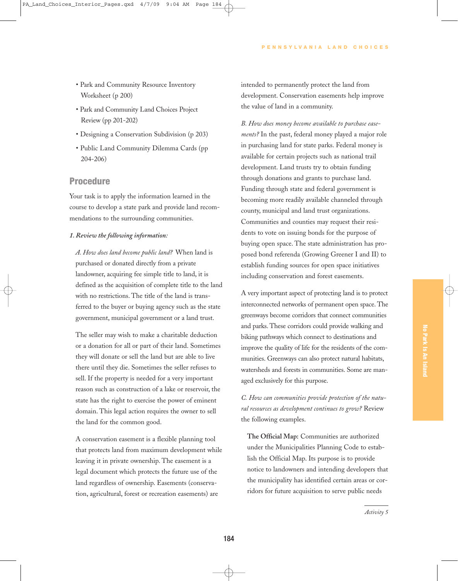- Park and Community Resource Inventory Worksheet (p 200)
- Park and Community Land Choices Project Review (pp 201-202)
- Designing a Conservation Subdivision (p 203)
- Public Land Community Dilemma Cards (pp 204-206)

## Procedure

Your task is to apply the information learned in the course to develop a state park and provide land recommendations to the surrounding communities.

#### *1. Review the following information:*

*A. How does land become public land?* When land is purchased or donated directly from a private landowner, acquiring fee simple title to land, it is defined as the acquisition of complete title to the land with no restrictions. The title of the land is transferred to the buyer or buying agency such as the state government, municipal government or a land trust.

The seller may wish to make a charitable deduction or a donation for all or part of their land. Sometimes they will donate or sell the land but are able to live there until they die. Sometimes the seller refuses to sell. If the property is needed for a very important reason such as construction of a lake or reservoir, the state has the right to exercise the power of eminent domain. This legal action requires the owner to sell the land for the common good.

A conservation easement is a flexible planning tool that protects land from maximum development while leaving it in private ownership. The easement is a legal document which protects the future use of the land regardless of ownership. Easements (conservation, agricultural, forest or recreation easements) are

intended to permanently protect the land from development. Conservation easements help improve the value of land in a community.

*B. How does money become available to purchase easements?* In the past, federal money played a major role in purchasing land for state parks. Federal money is available for certain projects such as national trail development. Land trusts try to obtain funding through donations and grants to purchase land. Funding through state and federal government is becoming more readily available channeled through county, municipal and land trust organizations. Communities and counties may request their residents to vote on issuing bonds for the purpose of buying open space. The state administration has proposed bond referenda (Growing Greener I and II) to establish funding sources for open space initiatives including conservation and forest easements.

A very important aspect of protecting land is to protect interconnected networks of permanent open space. The greenways become corridors that connect communities and parks. These corridors could provide walking and biking pathways which connect to destinations and improve the quality of life for the residents of the communities. Greenways can also protect natural habitats, watersheds and forests in communities. Some are managed exclusively for this purpose.

*C. How can communities provide protection of the natural resources as development continues to grow?* Review the following examples.

**The Official Map:** Communities are authorized under the Municipalities Planning Code to establish the Official Map. Its purpose is to provide notice to landowners and intending developers that the municipality has identified certain areas or corridors for future acquisition to serve public needs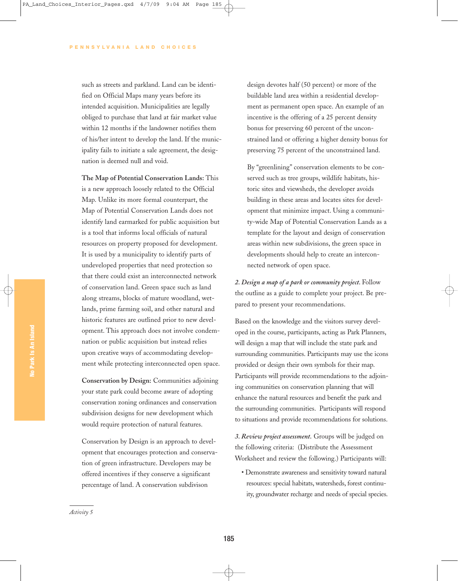such as streets and parkland. Land can be identified on Official Maps many years before its intended acquisition. Municipalities are legally obliged to purchase that land at fair market value within 12 months if the landowner notifies them of his/her intent to develop the land. If the municipality fails to initiate a sale agreement, the designation is deemed null and void.

**The Map of Potential Conservation Lands:** This is a new approach loosely related to the Official Map. Unlike its more formal counterpart, the Map of Potential Conservation Lands does not identify land earmarked for public acquisition but is a tool that informs local officials of natural resources on property proposed for development. It is used by a municipality to identify parts of undeveloped properties that need protection so that there could exist an interconnected network of conservation land. Green space such as land along streams, blocks of mature woodland, wetlands, prime farming soil, and other natural and historic features are outlined prior to new development. This approach does not involve condemnation or public acquisition but instead relies upon creative ways of accommodating development while protecting interconnected open space.

**Conservation by Design:** Communities adjoining your state park could become aware of adopting conservation zoning ordinances and conservation subdivision designs for new development which would require protection of natural features.

Conservation by Design is an approach to development that encourages protection and conservation of green infrastructure. Developers may be offered incentives if they conserve a significant percentage of land. A conservation subdivison

design devotes half (50 percent) or more of the buildable land area within a residential development as permanent open space. An example of an incentive is the offering of a 25 percent density bonus for preserving 60 percent of the unconstrained land or offering a higher density bonus for preserving 75 percent of the unconstrained land.

By "greenlining" conservation elements to be conserved such as tree groups, wildlife habitats, historic sites and viewsheds, the developer avoids building in these areas and locates sites for development that minimize impact. Using a community-wide Map of Potential Conservation Lands as a template for the layout and design of conservation areas within new subdivisions, the green space in developments should help to create an interconnected network of open space.

*2. Design a map of a park or community project.* Follow the outline as a guide to complete your project. Be prepared to present your recommendations.

Based on the knowledge and the visitors survey developed in the course, participants, acting as Park Planners, will design a map that will include the state park and surrounding communities. Participants may use the icons provided or design their own symbols for their map. Participants will provide recommendations to the adjoining communities on conservation planning that will enhance the natural resources and benefit the park and the surrounding communities. Participants will respond to situations and provide recommendations for solutions.

*3. Review project assessment.* Groups will be judged on the following criteria: (Distribute the Assessment Worksheet and review the following.) Participants will:

• Demonstrate awareness and sensitivity toward natural resources: special habitats, watersheds, forest continuity, groundwater recharge and needs of special species.

*Activity 5*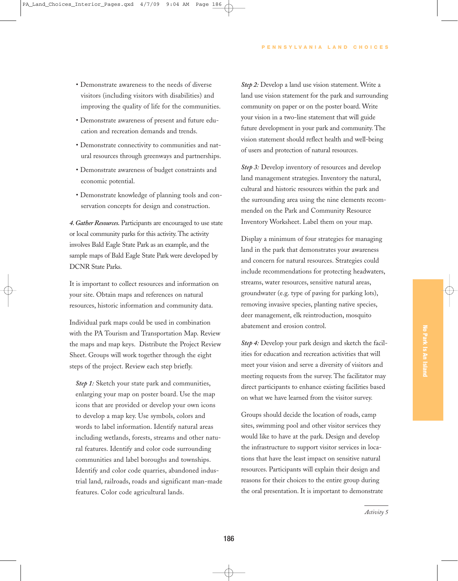- Demonstrate awareness to the needs of diverse visitors (including visitors with disabilities) and improving the quality of life for the communities.
- Demonstrate awareness of present and future education and recreation demands and trends.
- Demonstrate connectivity to communities and natural resources through greenways and partnerships.
- Demonstrate awareness of budget constraints and economic potential.
- Demonstrate knowledge of planning tools and conservation concepts for design and construction.

*4. Gather Resources.* Participants are encouraged to use state or local community parks for this activity. The activity involves Bald Eagle State Park as an example, and the sample maps of Bald Eagle State Park were developed by DCNR State Parks.

It is important to collect resources and information on your site. Obtain maps and references on natural resources, historic information and community data.

Individual park maps could be used in combination with the PA Tourism and Transportation Map. Review the maps and map keys. Distribute the Project Review Sheet. Groups will work together through the eight steps of the project. Review each step briefly.

*Step 1:* Sketch your state park and communities, enlarging your map on poster board. Use the map icons that are provided or develop your own icons to develop a map key. Use symbols, colors and words to label information. Identify natural areas including wetlands, forests, streams and other natural features. Identify and color code surrounding communities and label boroughs and townships. Identify and color code quarries, abandoned industrial land, railroads, roads and significant man-made features. Color code agricultural lands.

*Step 2:* Develop a land use vision statement. Write a land use vision statement for the park and surrounding community on paper or on the poster board. Write your vision in a two-line statement that will guide future development in your park and community. The vision statement should reflect health and well-being of users and protection of natural resources.

*Step 3:* Develop inventory of resources and develop land management strategies. Inventory the natural, cultural and historic resources within the park and the surrounding area using the nine elements recommended on the Park and Community Resource Inventory Worksheet. Label them on your map.

Display a minimum of four strategies for managing land in the park that demonstrates your awareness and concern for natural resources. Strategies could include recommendations for protecting headwaters, streams, water resources, sensitive natural areas, groundwater (e.g. type of paving for parking lots), removing invasive species, planting native species, deer management, elk reintroduction, mosquito abatement and erosion control.

*Step 4:* Develop your park design and sketch the facilities for education and recreation activities that will meet your vision and serve a diversity of visitors and meeting requests from the survey. The facilitator may direct participants to enhance existing facilities based on what we have learned from the visitor survey.

Groups should decide the location of roads, camp sites, swimming pool and other visitor services they would like to have at the park. Design and develop the infrastructure to support visitor services in locations that have the least impact on sensitive natural resources. Participants will explain their design and reasons for their choices to the entire group during the oral presentation. It is important to demonstrate